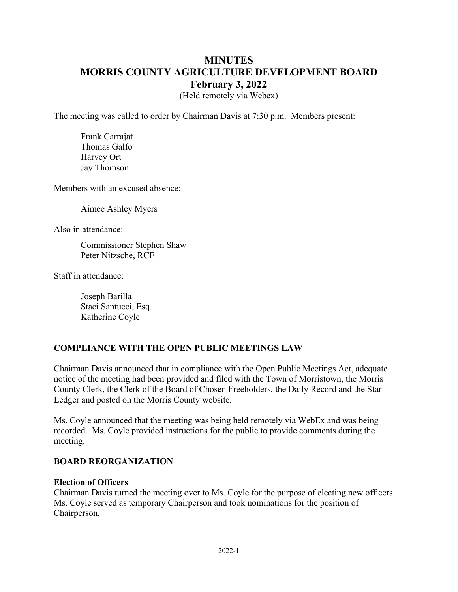# **MINUTES MORRIS COUNTY AGRICULTURE DEVELOPMENT BOARD February 3, 2022**

(Held remotely via Webex)

The meeting was called to order by Chairman Davis at 7:30 p.m. Members present:

 Frank Carrajat Thomas Galfo Harvey Ort Jay Thomson

Members with an excused absence:

Aimee Ashley Myers

Also in attendance:

Commissioner Stephen Shaw Peter Nitzsche, RCE

Staff in attendance:

Joseph Barilla Staci Santucci, Esq. Katherine Coyle

# **COMPLIANCE WITH THE OPEN PUBLIC MEETINGS LAW**

Chairman Davis announced that in compliance with the Open Public Meetings Act, adequate notice of the meeting had been provided and filed with the Town of Morristown, the Morris County Clerk, the Clerk of the Board of Chosen Freeholders, the Daily Record and the Star Ledger and posted on the Morris County website.

Ms. Coyle announced that the meeting was being held remotely via WebEx and was being recorded. Ms. Coyle provided instructions for the public to provide comments during the meeting.

### **BOARD REORGANIZATION**

### **Election of Officers**

Chairman Davis turned the meeting over to Ms. Coyle for the purpose of electing new officers. Ms. Coyle served as temporary Chairperson and took nominations for the position of Chairperson.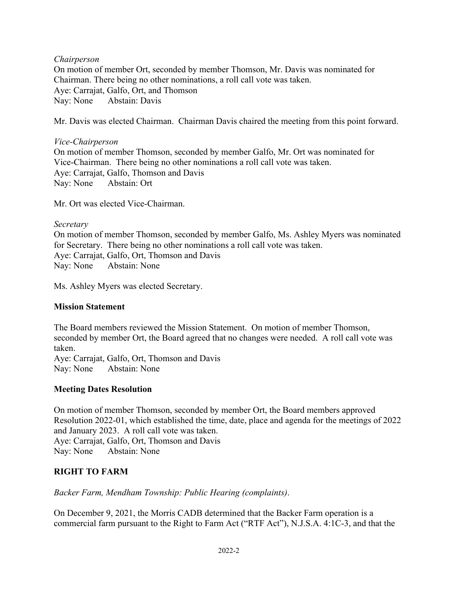### *Chairperson*

On motion of member Ort, seconded by member Thomson, Mr. Davis was nominated for Chairman. There being no other nominations, a roll call vote was taken. Aye: Carrajat, Galfo, Ort, and Thomson Nay: None Abstain: Davis

Mr. Davis was elected Chairman. Chairman Davis chaired the meeting from this point forward.

### *Vice-Chairperson*

On motion of member Thomson, seconded by member Galfo, Mr. Ort was nominated for Vice-Chairman. There being no other nominations a roll call vote was taken. Aye: Carrajat, Galfo, Thomson and Davis Nay: None Abstain: Ort

Mr. Ort was elected Vice-Chairman.

### *Secretary*  On motion of member Thomson, seconded by member Galfo, Ms. Ashley Myers was nominated for Secretary. There being no other nominations a roll call vote was taken. Aye: Carrajat, Galfo, Ort, Thomson and Davis Nay: None Abstain: None

Ms. Ashley Myers was elected Secretary.

# **Mission Statement**

The Board members reviewed the Mission Statement. On motion of member Thomson, seconded by member Ort, the Board agreed that no changes were needed. A roll call vote was taken.

Aye: Carrajat, Galfo, Ort, Thomson and Davis Nay: None Abstain: None

# **Meeting Dates Resolution**

On motion of member Thomson, seconded by member Ort, the Board members approved Resolution 2022-01, which established the time, date, place and agenda for the meetings of 2022 and January 2023. A roll call vote was taken. Aye: Carrajat, Galfo, Ort, Thomson and Davis Nay: None Abstain: None

# **RIGHT TO FARM**

*Backer Farm, Mendham Township: Public Hearing (complaints)*.

On December 9, 2021, the Morris CADB determined that the Backer Farm operation is a commercial farm pursuant to the Right to Farm Act ("RTF Act"), N.J.S.A. 4:1C-3, and that the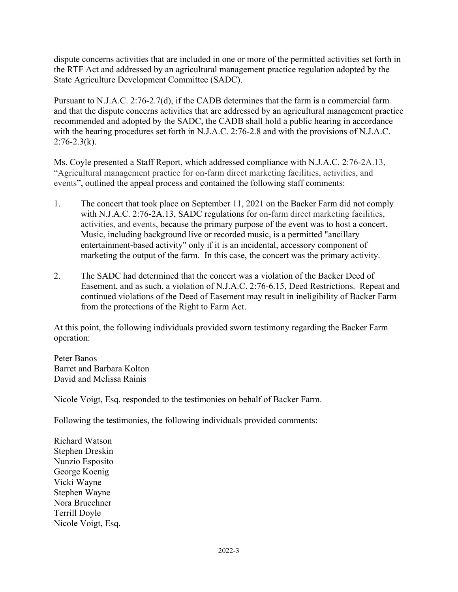dispute concerns activities that are included in one or more of the permitted activities set forth in the RTF Act and addressed by an agricultural management practice regulation adopted by the State Agriculture Development Committee (SADC).

Pursuant to N.J.A.C. 2:76-2.7(d), if the CADB determines that the farm is a commercial farm and that the dispute concerns activities that are addressed by an agricultural management practice recommended and adopted by the SADC, the CADB shall hold a public hearing in accordance with the hearing procedures set forth in N.J.A.C. 2:76-2.8 and with the provisions of N.J.A.C.  $2:76-2.3(k)$ .

Ms. Coyle presented a Staff Report, which addressed compliance with N.J.A.C. [2:76-2A.13](https://2:76-2A.13), "Agricultural management practice for on-farm direct marketing facilities, activities, and events", outlined the appeal process and contained the following staff comments:

- 1. The concert that took place on September 11, 2021 on the Backer Farm did not comply with N.J.A.C. [2:76-2A.13](https://2:76-2A.13), SADC regulations for on-farm direct marketing facilities, activities, and events, because the primary purpose of the event was to host a concert. Music, including background live or recorded music, is a permitted "ancillary entertainment-based activity" only if it is an incidental, accessory component of marketing the output of the farm. In this case, the concert was the primary activity.
- 2. The SADC had determined that the concert was a violation of the Backer Deed of Easement, and as such, a violation of N.J.A.C. [2:76-6.15](https://2:76-6.15), Deed Restrictions. Repeat and continued violations of the Deed of Easement may result in ineligibility of Backer Farm from the protections of the Right to Farm Act.

At this point, the following individuals provided sworn testimony regarding the Backer Farm operation:

Peter Banos Barret and Barbara Kolton David and Melissa Rainis

Nicole Voigt, Esq. responded to the testimonies on behalf of Backer Farm.

Following the testimonies, the following individuals provided comments:

Richard Watson Stephen Dreskin Nunzio Esposito George Koenig Vicki Wayne Stephen Wayne Nora Bruechner Terrill Doyle Nicole Voigt, Esq.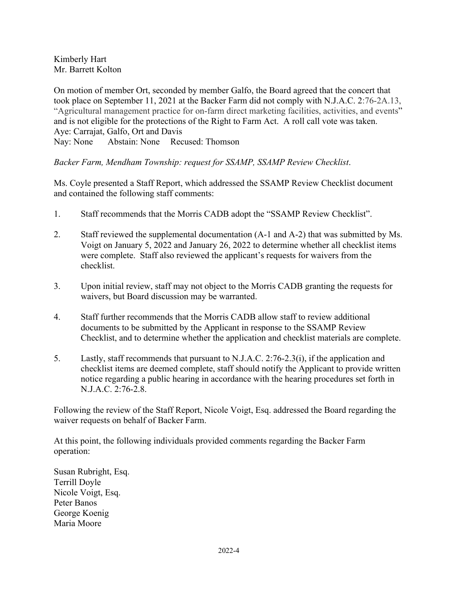Kimberly Hart Mr. Barrett Kolton

On motion of member Ort, seconded by member Galfo, the Board agreed that the concert that took place on September 11, 2021 at the Backer Farm did not comply with N.J.A.C. [2:76-2A.13](https://2:76-2A.13), "Agricultural management practice for on-farm direct marketing facilities, activities, and events" and is not eligible for the protections of the Right to Farm Act. A roll call vote was taken. Aye: Carrajat, Galfo, Ort and Davis Nay: None Abstain: None Recused: Thomson

*Backer Farm, Mendham Township: request for SSAMP, SSAMP Review Checklist*.

Ms. Coyle presented a Staff Report, which addressed the SSAMP Review Checklist document and contained the following staff comments:

- 1. Staff recommends that the Morris CADB adopt the "SSAMP Review Checklist".
- 2. Staff reviewed the supplemental documentation (A-1 and A-2) that was submitted by Ms. Voigt on January 5, 2022 and January 26, 2022 to determine whether all checklist items were complete. Staff also reviewed the applicant's requests for waivers from the checklist.
- 3. Upon initial review, staff may not object to the Morris CADB granting the requests for waivers, but Board discussion may be warranted.
- 4. Staff further recommends that the Morris CADB allow staff to review additional documents to be submitted by the Applicant in response to the SSAMP Review Checklist, and to determine whether the application and checklist materials are complete.
- 5. Lastly, staff recommends that pursuant to N.J.A.C. 2:76-2.3(i), if the application and checklist items are deemed complete, staff should notify the Applicant to provide written notice regarding a public hearing in accordance with the hearing procedures set forth in N.J.A.C. 2:76-2.8.

Following the review of the Staff Report, Nicole Voigt, Esq. addressed the Board regarding the waiver requests on behalf of Backer Farm.

At this point, the following individuals provided comments regarding the Backer Farm operation:

Susan Rubright, Esq. Terrill Doyle Nicole Voigt, Esq. Peter Banos George Koenig Maria Moore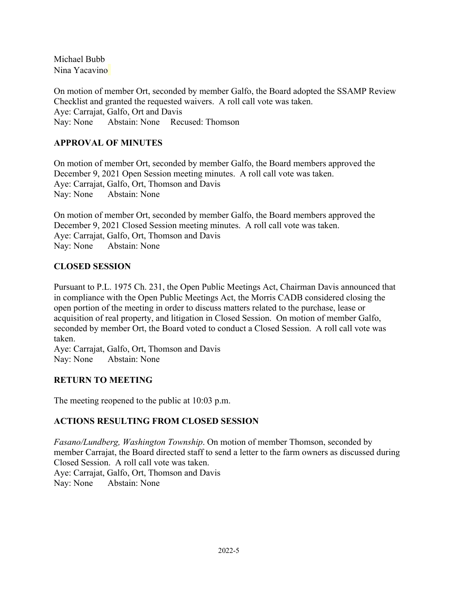Michael Bubb Nina Yacavino

On motion of member Ort, seconded by member Galfo, the Board adopted the SSAMP Review Checklist and granted the requested waivers. A roll call vote was taken. Aye: Carrajat, Galfo, Ort and Davis Nay: None Abstain: None Recused: Thomson

# **APPROVAL OF MINUTES**

On motion of member Ort, seconded by member Galfo, the Board members approved the December 9, 2021 Open Session meeting minutes. A roll call vote was taken. Aye: Carrajat, Galfo, Ort, Thomson and Davis Nay: None Abstain: None

On motion of member Ort, seconded by member Galfo, the Board members approved the December 9, 2021 Closed Session meeting minutes. A roll call vote was taken. Aye: Carrajat, Galfo, Ort, Thomson and Davis Nay: None Abstain: None

### **CLOSED SESSION**

Pursuant to P.L. 1975 Ch. 231, the Open Public Meetings Act, Chairman Davis announced that in compliance with the Open Public Meetings Act, the Morris CADB considered closing the open portion of the meeting in order to discuss matters related to the purchase, lease or acquisition of real property, and litigation in Closed Session. On motion of member Galfo, seconded by member Ort, the Board voted to conduct a Closed Session. A roll call vote was taken.

Aye: Carrajat, Galfo, Ort, Thomson and Davis Nay: None Abstain: None

# **RETURN TO MEETING**

The meeting reopened to the public at 10:03 p.m.

# **ACTIONS RESULTING FROM CLOSED SESSION**

*Fasano/Lundberg, Washington Township*. On motion of member Thomson, seconded by member Carrajat, the Board directed staff to send a letter to the farm owners as discussed during Closed Session. A roll call vote was taken. Aye: Carrajat, Galfo, Ort, Thomson and Davis Nay: None Abstain: None